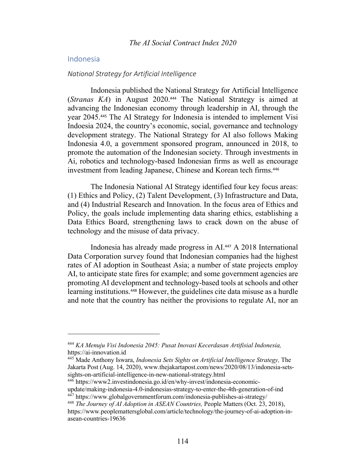## Indonesia

#### *National Strategy for Artificial Intelligence*

Indonesia published the National Strategy for Artificial Intelligence (*Stranas KA*) in August 2020.<sup>444</sup> The National Strategy is aimed at advancing the Indonesian economy through leadership in AI, through the year 2045.<sup>445</sup> The AI Strategy for Indonesia is intended to implement Visi Indoesia 2024, the country's economic, social, governance and technology development strategy. The National Strategy for AI also follows Making Indonesia 4.0, a government sponsored program, announced in 2018, to promote the automation of the Indonesian society. Through investments in Ai, robotics and technology-based Indonesian firms as well as encourage investment from leading Japanese, Chinese and Korean tech firms.<sup>446</sup>

The Indonesia National AI Strategy identified four key focus areas: (1) Ethics and Policy, (2) Talent Development, (3) Infrastructure and Data, and (4) Industrial Research and Innovation. In the focus area of Ethics and Policy, the goals include implementing data sharing ethics, establishing a Data Ethics Board, strengthening laws to crack down on the abuse of technology and the misuse of data privacy.

Indonesia has already made progress in AI.<sup>447</sup> A 2018 International Data Corporation survey found that Indonesian companies had the highest rates of AI adoption in Southeast Asia; a number of state projects employ AI, to anticipate state fires for example; and some government agencies are promoting AI development and technology-based tools at schools and other learning institutions.<sup>448</sup> However, the guidelines cite data misuse as a hurdle and note that the country has neither the provisions to regulate AI, nor an

<sup>444</sup> *KA Menuju Visi Indonesia 2045: Pusat Inovasi Kecerdasan Artifisial Indonesia,*  https://ai-innovation.id

<sup>445</sup> Made Anthony Iswara, *Indonesia Sets Sights on Artificial Intelligence Strategy,* The Jakarta Post (Aug. 14, 2020), www.thejakartapost.com/news/2020/08/13/indonesia-setssights-on-artificial-intelligence-in-new-national-strategy.html

 $446$  https://www2.investindonesia.go.id/en/why-invest/indonesia-economicupdate/making-indonesia-4.0-indonesias-strategy-to-enter-the-4th-generation-of-ind <sup>447</sup> https://www.globalgovernmentforum.com/indonesia-publishes-ai-strategy/

<sup>448</sup> *The Journey of AI Adoption in ASEAN Countries,* People Matters (Oct. 23, 2018),

https://www.peoplemattersglobal.com/article/technology/the-journey-of-ai-adoption-inasean-countries-19636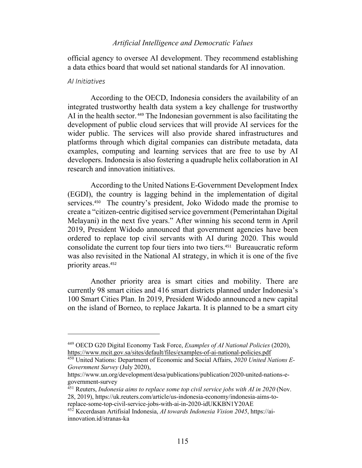## *Artificial Intelligence and Democratic Values*

official agency to oversee AI development. They recommend establishing a data ethics board that would set national standards for AI innovation.

## *AI Initiatives*

According to the OECD, Indonesia considers the availability of an integrated trustworthy health data system a key challenge for trustworthy AI in the health sector. <sup>449</sup> The Indonesian government is also facilitating the development of public cloud services that will provide AI services for the wider public. The services will also provide shared infrastructures and platforms through which digital companies can distribute metadata, data examples, computing and learning services that are free to use by AI developers. Indonesia is also fostering a quadruple helix collaboration in AI research and innovation initiatives.

According to the United Nations E-Government Development Index (EGDI), the country is lagging behind in the implementation of digital services.450 The country's president, Joko Widodo made the promise to create a "citizen-centric digitised service government (Pemerintahan Digital Melayani) in the next five years." After winning his second term in April 2019, President Widodo announced that government agencies have been ordered to replace top civil servants with AI during 2020. This would consolidate the current top four tiers into two tiers.451 Bureaucratic reform was also revisited in the National AI strategy, in which it is one of the five priority areas.<sup>452</sup>

Another priority area is smart cities and mobility. There are currently 98 smart cities and 416 smart districts planned under Indonesia's 100 Smart Cities Plan. In 2019, President Widodo announced a new capital on the island of Borneo, to replace Jakarta. It is planned to be a smart city

<sup>449</sup> OECD G20 Digital Economy Task Force, *Examples of AI National Policies* (2020), https://www.mcit.gov.sa/sites/default/files/examples-of-ai-national-policies.pdf

<sup>450</sup> United Nations: Department of Economic and Social Affairs, *2020 United Nations E-Government Survey* (July 2020),

https://www.un.org/development/desa/publications/publication/2020-united-nations-egovernment-survey

<sup>451</sup> Reuters, *Indonesia aims to replace some top civil service jobs with AI in 2020* (Nov. 28, 2019), https://uk.reuters.com/article/us-indonesia-economy/indonesia-aims-toreplace-some-top-civil-service-jobs-with-ai-in-2020-idUKKBN1Y20AE

<sup>452</sup> Kecerdasan Artifisial Indonesia, *AI towards Indonesia Vision 2045*, https://aiinnovation.id/stranas-ka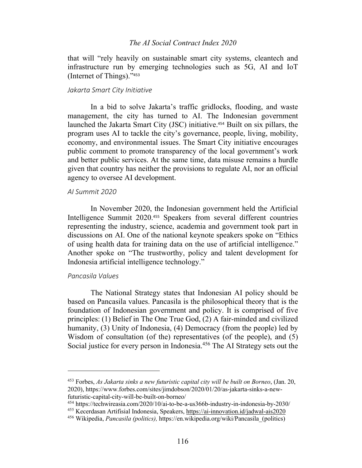## *The AI Social Contract Index 2020*

that will "rely heavily on sustainable smart city systems, cleantech and infrastructure run by emerging technologies such as 5G, AI and IoT (Internet of Things)."<sup>453</sup>

### *Jakarta Smart City Initiative*

In a bid to solve Jakarta's traffic gridlocks, flooding, and waste management, the city has turned to AI. The Indonesian government launched the Jakarta Smart City (JSC) initiative.<sup>454</sup> Built on six pillars, the program uses AI to tackle the city's governance, people, living, mobility, economy, and environmental issues. The Smart City initiative encourages public comment to promote transparency of the local government's work and better public services. At the same time, data misuse remains a hurdle given that country has neither the provisions to regulate AI, nor an official agency to oversee AI development.

### *AI Summit 2020*

In November 2020, the Indonesian government held the Artificial Intelligence Summit 2020.<sup>455</sup> Speakers from several different countries representing the industry, science, academia and government took part in discussions on AI. One of the national keynote speakers spoke on "Ethics of using health data for training data on the use of artificial intelligence." Another spoke on "The trustworthy, policy and talent development for Indonesia artificial intelligence technology."

### *Pancasila Values*

The National Strategy states that Indonesian AI policy should be based on Pancasila values. Pancasila is the philosophical theory that is the foundation of Indonesian government and policy. It is comprised of five principles: (1) Belief in The One True God, (2) A fair-minded and civilized humanity, (3) Unity of Indonesia, (4) Democracy (from the people) led by Wisdom of consultation (of the) representatives (of the people), and (5) Social justice for every person in Indonesia. <sup>456</sup> The AI Strategy sets out the

<sup>453</sup> Forbes, *As Jakarta sinks a new futuristic capital city will be built on Borneo*, (Jan. 20, 2020), https://www.forbes.com/sites/jimdobson/2020/01/20/as-jakarta-sinks-a-newfuturistic-capital-city-will-be-built-on-borneo/

<sup>454</sup> https://techwireasia.com/2020/10/ai-to-be-a-us366b-industry-in-indonesia-by-2030/

<sup>455</sup> Kecerdasan Artifisial Indonesia, Speakers, https://ai-innovation.id/jadwal-ais2020

<sup>456</sup> Wikipedia, *Pancasila (politics),* https://en.wikipedia.org/wiki/Pancasila\_(politics)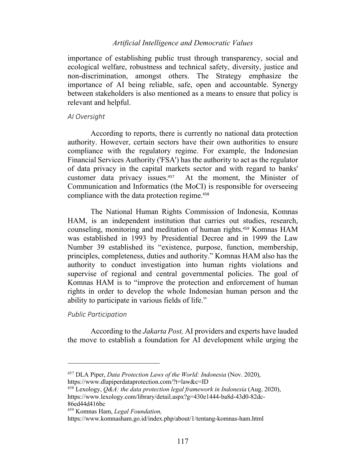# *Artificial Intelligence and Democratic Values*

importance of establishing public trust through transparency, social and ecological welfare, robustness and technical safety, diversity, justice and non-discrimination, amongst others. The Strategy emphasize the importance of AI being reliable, safe, open and accountable. Synergy between stakeholders is also mentioned as a means to ensure that policy is relevant and helpful.

### *AI Oversight*

According to reports, there is currently no national data protection authority. However, certain sectors have their own authorities to ensure compliance with the regulatory regime. For example, the Indonesian Financial Services Authority ('FSA') has the authority to act as the regulator of data privacy in the capital markets sector and with regard to banks' customer data privacy issues.457 At the moment, the Minister of Communication and Informatics (the MoCI) is responsible for overseeing compliance with the data protection regime.<sup>458</sup>

The National Human Rights Commission of Indonesia, Komnas HAM, is an independent institution that carries out studies, research, counseling, monitoring and meditation of human rights.<sup>459</sup> Komnas HAM was established in 1993 by Presidential Decree and in 1999 the Law Number 39 established its "existence, purpose, function, membership, principles, completeness, duties and authority." Komnas HAM also has the authority to conduct investigation into human rights violations and supervise of regional and central governmental policies. The goal of Komnas HAM is to "improve the protection and enforcement of human rights in order to develop the whole Indonesian human person and the ability to participate in various fields of life."

### *Public Participation*

According to the *Jakarta Post,* AI providers and experts have lauded the move to establish a foundation for AI development while urging the

<sup>457</sup> DLA Piper, *Data Protection Laws of the World: Indonesia* (Nov. 2020), https://www.dlapiperdataprotection.com/?t=law&c=ID

<sup>458</sup> Lexology, *Q&A: the data protection legal framework in Indonesia* (Aug. 2020), https://www.lexology.com/library/detail.aspx?g=430e1444-ba8d-43d0-82dc-86ed44d416bc

<sup>459</sup> Komnas Ham, *Legal Foundation,*

https://www.komnasham.go.id/index.php/about/1/tentang-komnas-ham.html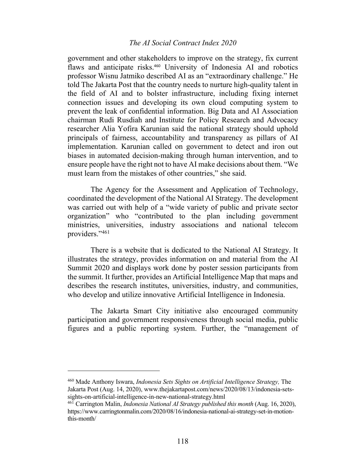## *The AI Social Contract Index 2020*

government and other stakeholders to improve on the strategy, fix current flaws and anticipate risks.<sup>460</sup> University of Indonesia AI and robotics professor Wisnu Jatmiko described AI as an "extraordinary challenge." He told The Jakarta Post that the country needs to nurture high-quality talent in the field of AI and to bolster infrastructure, including fixing internet connection issues and developing its own cloud computing system to prevent the leak of confidential information. Big Data and AI Association chairman Rudi Rusdiah and Institute for Policy Research and Advocacy researcher Alia Yofira Karunian said the national strategy should uphold principals of fairness, accountability and transparency as pillars of AI implementation. Karunian called on government to detect and iron out biases in automated decision-making through human intervention, and to ensure people have the right not to have AI make decisions about them. "We must learn from the mistakes of other countries," she said.

The Agency for the Assessment and Application of Technology, coordinated the development of the National AI Strategy. The development was carried out with help of a "wide variety of public and private sector organization" who "contributed to the plan including government ministries, universities, industry associations and national telecom providers."461

There is a website that is dedicated to the National AI Strategy. It illustrates the strategy, provides information on and material from the AI Summit 2020 and displays work done by poster session participants from the summit. It further, provides an Artificial Intelligence Map that maps and describes the research institutes, universities, industry, and communities, who develop and utilize innovative Artificial Intelligence in Indonesia.

The Jakarta Smart City initiative also encouraged community participation and government responsiveness through social media, public figures and a public reporting system. Further, the "management of

<sup>460</sup> Made Anthony Iswara, *Indonesia Sets Sights on Artificial Intelligence Strategy,* The Jakarta Post (Aug. 14, 2020), www.thejakartapost.com/news/2020/08/13/indonesia-setssights-on-artificial-intelligence-in-new-national-strategy.html

<sup>461</sup> Carrington Malin, *Indonesia National AI Strategy published this month* (Aug. 16, 2020), https://www.carringtonmalin.com/2020/08/16/indonesia-national-ai-strategy-set-in-motionthis-month/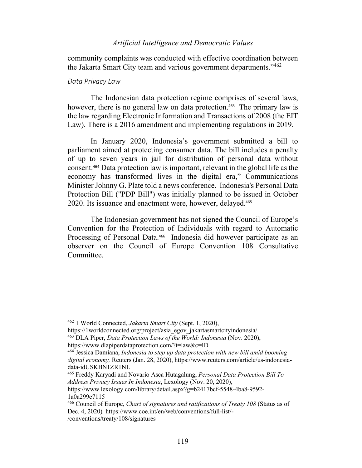## *Artificial Intelligence and Democratic Values*

community complaints was conducted with effective coordination between the Jakarta Smart City team and various government departments."462

### *Data Privacy Law*

The Indonesian data protection regime comprises of several laws, however, there is no general law on data protection.<sup>463</sup> The primary law is the law regarding Electronic Information and Transactions of 2008 (the EIT Law). There is a 2016 amendment and implementing regulations in 2019.

In January 2020, Indonesia's government submitted a bill to parliament aimed at protecting consumer data. The bill includes a penalty of up to seven years in jail for distribution of personal data without consent. <sup>464</sup> Data protection law is important, relevant in the global life as the economy has transformed lives in the digital era," Communications Minister Johnny G. Plate told a news conference. Indonesia's Personal Data Protection Bill ("PDP Bill") was initially planned to be issued in October 2020. Its issuance and enactment were, however, delayed.<sup>465</sup>

The Indonesian government has not signed the Council of Europe's Convention for the Protection of Individuals with regard to Automatic Processing of Personal Data.<sup>466</sup> Indonesia did however participate as an observer on the Council of Europe Convention 108 Consultative Committee.

<sup>462</sup> 1 World Connected, *Jakarta Smart City* (Sept. 1, 2020),

https://1worldconnected.org/project/asia\_egov\_jakartasmartcityindonesia/ <sup>463</sup> DLA Piper, *Data Protection Laws of the World: Indonesia* (Nov. 2020),

https://www.dlapiperdataprotection.com/?t=law&c=ID

<sup>464</sup> Jessica Damiana, *Indonesia to step up data protection with new bill amid booming digital economy,* Reuters (Jan. 28, 2020), https://www.reuters.com/article/us-indonesiadata-idUSKBN1ZR1NL

<sup>465</sup> Freddy Karyadi and Novario Asca Hutagalung, *Personal Data Protection Bill To Address Privacy Issues In Indonesia*, Lexology (Nov. 20, 2020),

https://www.lexology.com/library/detail.aspx?g=b2417bcf-5548-4ba8-9592- 1a0a299e7115

<sup>466</sup> Council of Europe, *Chart of signatures and ratifications of Treaty 108* (Status as of Dec. 4, 2020)*,* https://www.coe.int/en/web/conventions/full-list/-

<sup>/</sup>conventions/treaty/108/signatures